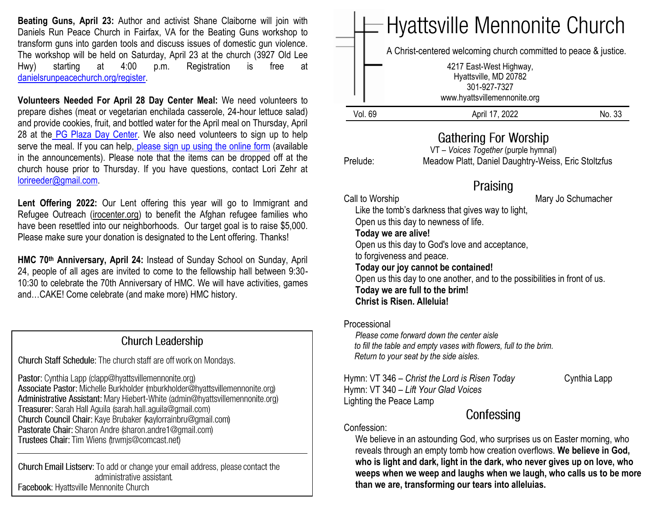**Beating Guns, April 23:** Author and activist Shane Claiborne will join with Daniels Run Peace Church in Fairfax, VA for the Beating Guns workshop to transform guns into garden tools and discuss issues of domestic gun violence*.* The workshop will be held on Saturday, April 23 at the church (3927 Old Lee Hwy) starting at 4:00 p.m. Registration is free at [danielsrunpeacechurch.org/register.](https://danielsrunpeacechurch.org/register/)

**Volunteers Needed For April 28 Day Center Meal:** We need volunteers to prepare dishes (meat or vegetarian enchilada casserole, 24-hour lettuce salad) and provide cookies, fruit, and bottled water for the April meal on Thursday, April 28 at the [PG Plaza Day Center.](https://www.congregationsunited.org/daycenter) We also need volunteers to sign up to help serve the meal. If you can help, [please sign up using the online](https://www.signupgenius.com/go/20f044faaac2fa2ff2-april) form (available in the announcements). Please note that the items can be dropped off at the church house prior to Thursday. If you have questions, contact Lori Zehr at [lorireeder@gmail.com.](mailto:lorireeder@gmail.com)

Lent Offering 2022: Our Lent offering this year will go to Immigrant and Refugee Outreach [\(irocenter.org\)](http://irocenter.org/) to benefit the Afghan refugee families who have been resettled into our neighborhoods. Our target goal is to raise \$5,000. Please make sure your donation is designated to the Lent offering. Thanks!

**HMC 70th Anniversary, April 24:** Instead of Sunday School on Sunday, April 24, people of all ages are invited to come to the fellowship hall between 9:30- 10:30 to celebrate the 70th Anniversary of HMC. We will have activities, games and…CAKE! Come celebrate (and make more) HMC history.

#### **Church Leadership**

Church Staff Schedule: The church staff are off work on Mondays.

Pastor: Cynthia Lapp (clapp@hyattsvillemennonite.org) Associate Pastor: Michelle Burkholder (mburkholder@hyattsvillemennonite.org) Administrative Assistant: Mary Hiebert-White (admin@hyattsvillemennonite.org) Treasurer: Sarah Hall Aguila (sarah.hall.aguila@gmail.com) Church Council Chair: Kaye Brubaker (kaylorrainbru@gmail.com) Pastorate Chair: Sharon Andre (sharon.andre1@gmail.com) Trustees Chair: Tim Wiens (trwmjs@comcast.net)

Church Email Listserv: To add or change your email address, please contact the administrative assistant. Facebook: Hyattsville Mennonite Church



# Confessing

#### Confession:

 We believe in an astounding God, who surprises us on Easter morning, who reveals through an empty tomb how creation overflows. **We believe in God, who is light and dark, light in the dark, who never gives up on love, who weeps when we weep and laughs when we laugh, who calls us to be more than we are, transforming our tears into alleluias.**